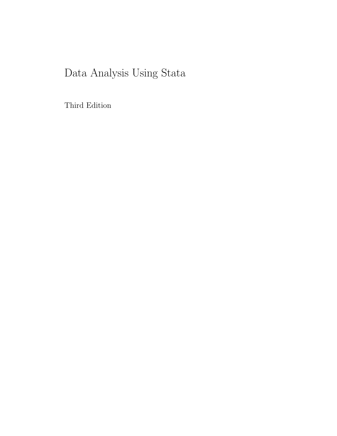# Data Analysis Using Stata

Third Edition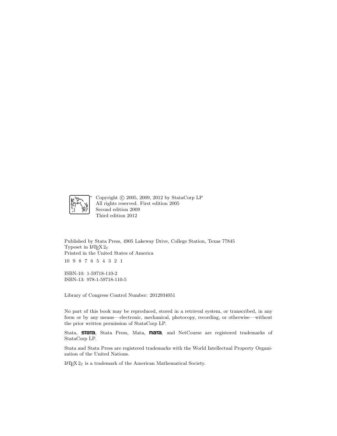

Copyright © 2005, 2009, 2012 by StataCorp LP All rights reserved. First edition 2005 Second edition 2009 Third edition 2012

Published by Stata Press, 4905 Lakeway Drive, College Station, Texas 77845 Typeset in L<sup>AT</sup>FX  $2\varepsilon$ Printed in the United States of America 10 9 8 7 6 5 4 3 2 1

ISBN-10: 1-59718-110-2 ISBN-13: 978-1-59718-110-5

Library of Congress Control Number: 2012934051

No part of this book may be reproduced, stored in a retrieval system, or transcribed, in any form or by any means—electronic, mechanical, photocopy, recording, or otherwise—without the prior written permission of StataCorp LP.

Stata, **STaTa**, Stata Press, Mata, **mata**, and NetCourse are registered trademarks of StataCorp LP.

Stata and Stata Press are registered trademarks with the World Intellectual Property Organization of the United Nations.

 $\mathbb{F}\to \mathbb{F}$ 2 $\varepsilon$  is a trademark of the American Mathematical Society.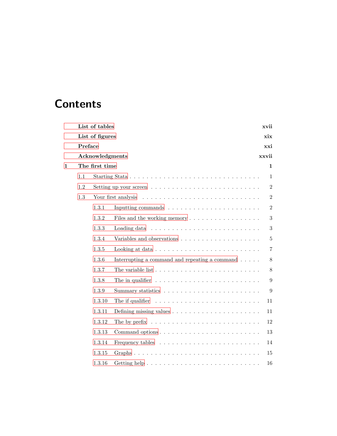## **Contents**

|              |                                                                                                                                                                                                                                                           |        |                                                                                | xvii |                  |  |
|--------------|-----------------------------------------------------------------------------------------------------------------------------------------------------------------------------------------------------------------------------------------------------------|--------|--------------------------------------------------------------------------------|------|------------------|--|
|              | List of tables<br>List of figures<br>Preface<br>Acknowledgments<br>The first time<br>1.1<br>1.2<br>Setting up your screen $\ldots \ldots \ldots \ldots \ldots \ldots \ldots \ldots$<br>1.3<br>1.3.1<br>1.3.2<br>1.3.3<br>1.3.4<br>1.3.5<br>1.3.6<br>1.3.7 |        |                                                                                |      |                  |  |
|              |                                                                                                                                                                                                                                                           |        |                                                                                |      |                  |  |
|              |                                                                                                                                                                                                                                                           |        |                                                                                |      | xxvii            |  |
| $\mathbf{1}$ |                                                                                                                                                                                                                                                           |        |                                                                                |      | 1                |  |
|              |                                                                                                                                                                                                                                                           |        |                                                                                |      | $\mathbf 1$      |  |
|              |                                                                                                                                                                                                                                                           |        |                                                                                |      | $\overline{2}$   |  |
|              |                                                                                                                                                                                                                                                           |        |                                                                                |      | $\overline{2}$   |  |
|              |                                                                                                                                                                                                                                                           |        | Inputting commands $\ldots \ldots \ldots \ldots \ldots \ldots \ldots$          |      | $\overline{2}$   |  |
|              |                                                                                                                                                                                                                                                           |        | Files and the working memory                                                   |      | $\boldsymbol{3}$ |  |
|              |                                                                                                                                                                                                                                                           |        |                                                                                |      | $\boldsymbol{3}$ |  |
|              |                                                                                                                                                                                                                                                           |        |                                                                                |      | 5                |  |
|              |                                                                                                                                                                                                                                                           |        |                                                                                |      | $\overline{7}$   |  |
|              |                                                                                                                                                                                                                                                           |        | Interrupting a command and repeating a command $\ldots$ .                      |      | 8                |  |
|              |                                                                                                                                                                                                                                                           |        |                                                                                |      | 8                |  |
|              |                                                                                                                                                                                                                                                           | 1.3.8  | The in qualifier $\dots \dots \dots \dots \dots \dots \dots \dots \dots$       |      | 9                |  |
|              |                                                                                                                                                                                                                                                           | 1.3.9  |                                                                                |      | 9                |  |
|              |                                                                                                                                                                                                                                                           | 1.3.10 | The if qualifier $\dots \dots \dots \dots \dots \dots \dots \dots \dots$       |      | 11               |  |
|              |                                                                                                                                                                                                                                                           | 1.3.11 | Defining missing values $\ldots \ldots \ldots \ldots \ldots \ldots \ldots$     |      | 11               |  |
|              |                                                                                                                                                                                                                                                           | 1.3.12 | The by prefix $\ldots \ldots \ldots \ldots \ldots \ldots \ldots \ldots \ldots$ |      | 12               |  |
|              |                                                                                                                                                                                                                                                           | 1.3.13 | Command options                                                                |      | 13               |  |
|              |                                                                                                                                                                                                                                                           | 1.3.14 | Frequency tables $\dots \dots \dots \dots \dots \dots \dots \dots$             |      | 14               |  |
|              |                                                                                                                                                                                                                                                           | 1.3.15 |                                                                                |      | 15               |  |
|              |                                                                                                                                                                                                                                                           | 1.3.16 |                                                                                |      | 16               |  |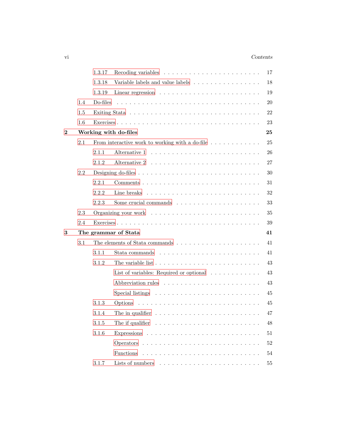## vi Contents

|          |     | 1.3.17    | Recoding variables $\dots \dots \dots \dots \dots \dots \dots \dots$           | 17        |
|----------|-----|-----------|--------------------------------------------------------------------------------|-----------|
|          |     | 1.3.18    | Variable labels and value labels                                               | 18        |
|          |     | 1.3.19    |                                                                                | 19        |
|          | 1.4 | Do-files  |                                                                                | <b>20</b> |
|          | 1.5 |           |                                                                                | 22        |
|          | 1.6 |           |                                                                                | 23        |
| $\bf{2}$ |     |           | Working with do-files                                                          | 25        |
|          | 2.1 |           | From interactive work to working with a do-file $\ldots \ldots \ldots$         | $25\,$    |
|          |     | 2.1.1     |                                                                                | 26        |
|          |     | 2.1.2     |                                                                                | 27        |
|          | 2.2 |           |                                                                                | 30        |
|          |     | 2.2.1     |                                                                                | 31        |
|          |     | 2.2.2     | Line breaks $\ldots \ldots \ldots \ldots \ldots \ldots \ldots \ldots$          | 32        |
|          |     | 2.2.3     | Some crucial commands $\dots \dots \dots \dots \dots \dots \dots$              | 33        |
|          | 2.3 |           |                                                                                | 35        |
|          | 2.4 |           |                                                                                | 39        |
| 3        |     |           | The grammar of Stata                                                           | 41        |
|          | 3.1 |           |                                                                                | 41        |
|          |     | 3.1.1     |                                                                                | 41        |
|          |     | 3.1.2     |                                                                                | 43        |
|          |     |           | List of variables: Required or optional $\ldots \ldots \ldots$                 | 43        |
|          |     |           |                                                                                | 43        |
|          |     |           | Special listings $\dots \dots \dots \dots \dots \dots \dots \dots \dots \dots$ | 45        |
|          |     | 3.1.3     |                                                                                | 45        |
|          |     | 3.1.4     | The in qualifier $\dots \dots \dots \dots \dots \dots \dots \dots \dots \dots$ | 47        |
|          |     | $3.1.5\,$ | The if qualifier $\ldots \ldots \ldots \ldots \ldots \ldots \ldots \ldots$     | 48        |
|          |     | 3.1.6     |                                                                                | 51        |
|          |     |           |                                                                                | $52\,$    |
|          |     |           | Functions                                                                      | 54        |
|          |     | 3.1.7     | Lists of numbers                                                               | 55        |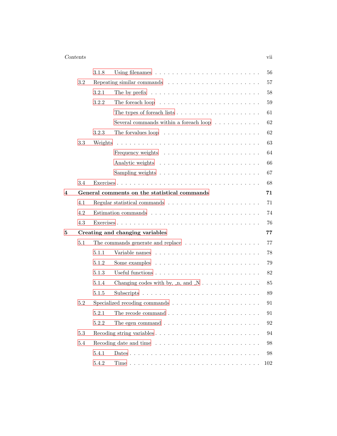#### Contents vii

|   |         | 3.1.8 | Using filenames $\ldots \ldots \ldots \ldots \ldots \ldots \ldots \ldots$      | 56         |
|---|---------|-------|--------------------------------------------------------------------------------|------------|
|   | 3.2     |       |                                                                                | 57         |
|   |         | 3.2.1 | The by prefix $\ldots \ldots \ldots \ldots \ldots \ldots \ldots \ldots \ldots$ | $58\,$     |
|   |         | 3.2.2 | The foreach loop $\dots \dots \dots \dots \dots \dots \dots \dots \dots$       | $59\,$     |
|   |         |       | The types of foreach lists $\dots \dots \dots \dots \dots \dots \dots$         | 61         |
|   |         |       | Several commands within a foreach loop $\dots \dots \dots$                     | 62         |
|   |         | 3.2.3 | The forvalues loop $\dots \dots \dots \dots \dots \dots \dots \dots$           | 62         |
|   | 3.3     |       |                                                                                | 63         |
|   |         |       |                                                                                | 64         |
|   |         |       |                                                                                | 66         |
|   |         |       |                                                                                | 67         |
|   | 3.4     |       |                                                                                | 68         |
| 4 |         |       | General comments on the statistical commands                                   | 71         |
|   | 4.1     |       |                                                                                | 71         |
|   | 4.2     |       |                                                                                | 74         |
|   | 4.3     |       |                                                                                | 76         |
| 5 |         |       | Creating and changing variables                                                | ${\bf 77}$ |
|   | $5.1\,$ |       | The commands generate and replace $\dots \dots \dots \dots \dots \dots$        | 77         |
|   |         | 5.1.1 |                                                                                | 78         |
|   |         | 5.1.2 |                                                                                | 79         |
|   |         | 5.1.3 |                                                                                | 82         |
|   |         | 5.1.4 |                                                                                | 85         |
|   |         | 5.1.5 |                                                                                | 89         |
|   | 5.2     |       |                                                                                | 91         |
|   |         | 5.2.1 | The recode command $\ldots \ldots \ldots \ldots \ldots \ldots \ldots \ldots$   | 91         |
|   |         | 5.2.2 | The egen command $\ldots \ldots \ldots \ldots \ldots \ldots \ldots \ldots$     | 92         |
|   | $5.3\,$ |       |                                                                                | 94         |
|   | $5.4\,$ |       |                                                                                | 98         |
|   |         | 5.4.1 |                                                                                | 98         |
|   |         | 5.4.2 |                                                                                | 102        |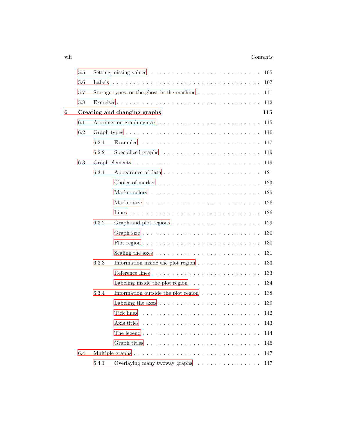## viii Contents

|   | $5.5\,$ |       | 105                                                                                                                   |  |
|---|---------|-------|-----------------------------------------------------------------------------------------------------------------------|--|
|   | 5.6     |       | 107                                                                                                                   |  |
|   | 5.7     |       | Storage types, or the ghost in the machine $\dots \dots \dots \dots \dots$<br>111                                     |  |
|   | 5.8     |       | 112                                                                                                                   |  |
| 6 |         |       | Creating and changing graphs<br>115                                                                                   |  |
|   | 6.1     |       | 115                                                                                                                   |  |
|   | 6.2     |       | 116                                                                                                                   |  |
|   |         | 6.2.1 | 117                                                                                                                   |  |
|   |         | 6.2.2 | 119<br>Specialized graphs $\ldots \ldots \ldots \ldots \ldots \ldots \ldots$                                          |  |
|   | 6.3     |       | 119                                                                                                                   |  |
|   |         | 6.3.1 | 121                                                                                                                   |  |
|   |         |       | 123                                                                                                                   |  |
|   |         |       | 125                                                                                                                   |  |
|   |         |       | 126<br>Marker size received and service in the size of the size of the service is a service of the size of the size o |  |
|   |         |       | 126                                                                                                                   |  |
|   |         | 6.3.2 | 129                                                                                                                   |  |
|   |         |       | 130                                                                                                                   |  |
|   |         |       | 130                                                                                                                   |  |
|   |         |       | 131                                                                                                                   |  |
|   |         | 6.3.3 | 133<br>Information inside the plot region $\ldots \ldots \ldots \ldots \ldots$                                        |  |
|   |         |       | Reference lines<br>133                                                                                                |  |
|   |         |       | 134<br>Labeling inside the plot region $\ldots \ldots \ldots \ldots \ldots$                                           |  |
|   |         | 6.3.4 | 138<br>Information outside the plot region $\ldots \ldots \ldots \ldots$                                              |  |
|   |         |       | Labeling the axes $\dots \dots \dots \dots \dots \dots \dots \dots \dots$<br>139                                      |  |
|   |         |       | 142                                                                                                                   |  |
|   |         |       | 143                                                                                                                   |  |
|   |         |       | 144                                                                                                                   |  |
|   |         |       | 146                                                                                                                   |  |
|   | 6.4     |       | 147                                                                                                                   |  |
|   |         | 6.4.1 | Overlaying many twoway graphs<br>147                                                                                  |  |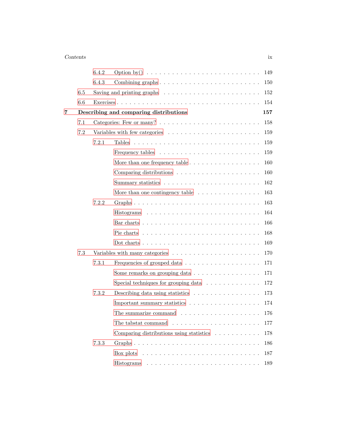|   |         | 6.4.2 | Option by $() \ldots \ldots \ldots \ldots \ldots \ldots \ldots \ldots \ldots$      | 149 |
|---|---------|-------|------------------------------------------------------------------------------------|-----|
|   |         | 6.4.3 | Combining graphs                                                                   | 150 |
|   | 6.5     |       | Saving and printing graphs $\ldots \ldots \ldots \ldots \ldots \ldots \ldots$      | 152 |
|   | 6.6     |       |                                                                                    | 154 |
| 7 |         |       | Describing and comparing distributions                                             | 157 |
|   | $7.1\,$ |       | Categories: Few or many? $\ldots \ldots \ldots \ldots \ldots \ldots \ldots \ldots$ | 158 |
|   | 7.2     |       |                                                                                    | 159 |
|   |         | 7.2.1 | <b>Tables</b>                                                                      | 159 |
|   |         |       |                                                                                    | 159 |
|   |         |       | More than one frequency table $\ldots \ldots \ldots \ldots \ldots$                 | 160 |
|   |         |       |                                                                                    | 160 |
|   |         |       |                                                                                    | 162 |
|   |         |       | More than one contingency table $\dots \dots \dots \dots \dots$                    | 163 |
|   |         | 7.2.2 |                                                                                    | 163 |
|   |         |       |                                                                                    | 164 |
|   |         |       | Bar charts $\ldots \ldots \ldots \ldots \ldots \ldots \ldots \ldots \ldots \ldots$ | 166 |
|   |         |       | Pie charts $\dots \dots \dots \dots \dots \dots \dots \dots \dots \dots \dots$     | 168 |
|   |         |       |                                                                                    | 169 |
|   | 7.3     |       |                                                                                    | 170 |
|   |         | 7.3.1 |                                                                                    | 171 |
|   |         |       | Some remarks on grouping data $\ldots \ldots \ldots \ldots \ldots$                 | 171 |
|   |         |       | Special techniques for grouping data $\ldots \ldots \ldots \ldots$                 | 172 |
|   |         | 7.3.2 | Describing data using statistics $\ldots \ldots \ldots \ldots \ldots$              | 173 |
|   |         |       | Important summary statistics                                                       | 174 |
|   |         |       | The summarize command $\ldots \ldots \ldots \ldots \ldots \ldots$                  | 176 |
|   |         |       | The tabstat command $\ldots \ldots \ldots \ldots \ldots \ldots \ldots$             | 177 |
|   |         |       | Comparing distributions using statistics $\ldots \ldots \ldots$                    | 178 |
|   |         | 7.3.3 |                                                                                    | 186 |
|   |         |       | Box plots $\ldots \ldots \ldots \ldots \ldots \ldots \ldots \ldots \ldots \ldots$  | 187 |
|   |         |       |                                                                                    | 189 |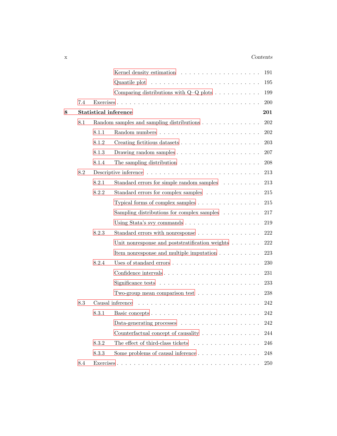## x Contents

|   |     |       |                                                                                | 191 |
|---|-----|-------|--------------------------------------------------------------------------------|-----|
|   |     |       | Quantile plot $\ldots \ldots \ldots \ldots \ldots \ldots \ldots \ldots \ldots$ | 195 |
|   |     |       | Comparing distributions with $Q-Q$ plots $\ldots \ldots \ldots$                | 199 |
|   | 7.4 |       |                                                                                | 200 |
| 8 |     |       | <b>Statistical inference</b>                                                   | 201 |
|   | 8.1 |       | Random samples and sampling distributions                                      | 202 |
|   |     | 8.1.1 |                                                                                | 202 |
|   |     | 8.1.2 |                                                                                | 203 |
|   |     | 8.1.3 | Drawing random samples $\ldots \ldots \ldots \ldots \ldots \ldots \ldots$      | 207 |
|   |     | 8.1.4 | The sampling distribution $\ldots \ldots \ldots \ldots \ldots \ldots$          | 208 |
|   | 8.2 |       |                                                                                | 213 |
|   |     | 8.2.1 | Standard errors for simple random samples                                      | 213 |
|   |     | 8.2.2 | Standard errors for complex samples                                            | 215 |
|   |     |       | Typical forms of complex samples $\dots \dots \dots \dots \dots$               | 215 |
|   |     |       | Sampling distributions for complex samples $\ldots \ldots \ldots$              | 217 |
|   |     |       | Using Stata's svy commands $\ldots \ldots \ldots \ldots \ldots \ldots$         | 219 |
|   |     | 8.2.3 | Standard errors with nonresponse                                               | 222 |
|   |     |       | Unit nonresponse and poststratification weights $\ldots \ldots$                | 222 |
|   |     |       | Item nonresponse and multiple imputation $\ldots \ldots \ldots$                | 223 |
|   |     | 8.2.4 |                                                                                | 230 |
|   |     |       |                                                                                | 231 |
|   |     |       |                                                                                | 233 |
|   |     |       | Two-group mean comparison test $\ldots \ldots \ldots \ldots \ldots$            | 238 |
|   | 8.3 |       | Causal inference                                                               | 242 |
|   |     | 8.3.1 |                                                                                | 242 |
|   |     |       | Data-generating processes $\dots \dots \dots \dots \dots \dots \dots$          | 242 |
|   |     |       | Counterfactual concept of causality                                            | 244 |
|   |     | 8.3.2 | The effect of third-class tickets                                              | 246 |
|   |     | 8.3.3 | Some problems of causal inference                                              | 248 |
|   | 8.4 |       |                                                                                | 250 |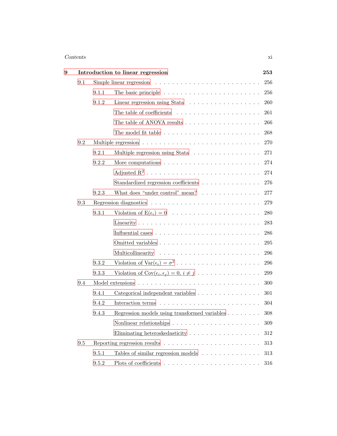#### Contents xi

| 9 |     |       | Introduction to linear regression                                                           | 253     |
|---|-----|-------|---------------------------------------------------------------------------------------------|---------|
|   | 9.1 |       |                                                                                             | 256     |
|   |     | 9.1.1 |                                                                                             | 256     |
|   |     | 9.1.2 | Linear regression using Stata $\ldots \ldots \ldots \ldots \ldots$                          | 260     |
|   |     |       | The table of coefficients $\dots \dots \dots \dots \dots \dots \dots$                       | 261     |
|   |     |       | The table of ANOVA results                                                                  | 266     |
|   |     |       |                                                                                             | 268     |
|   | 9.2 |       |                                                                                             | 270     |
|   |     | 9.2.1 | Multiple regression using Stata                                                             | 271     |
|   |     | 9.2.2 |                                                                                             | 274     |
|   |     |       |                                                                                             | 274     |
|   |     |       | Standardized regression coefficients                                                        | 276     |
|   |     | 9.2.3 | What does "under control" mean? $\ldots \ldots \ldots \ldots$                               | 277     |
|   | 9.3 |       |                                                                                             | 279     |
|   |     | 9.3.1 |                                                                                             | 280     |
|   |     |       |                                                                                             | 283     |
|   |     |       |                                                                                             | 286     |
|   |     |       |                                                                                             | 295     |
|   |     |       |                                                                                             | 296     |
|   |     | 9.3.2 | Violation of $Var(\epsilon_i) = \sigma^2 \dots \dots \dots \dots \dots \dots \dots \dots$   | 296     |
|   |     | 9.3.3 | Violation of $Cov(\epsilon_i, \epsilon_j) = 0, i \neq j \ldots \ldots \ldots \ldots \ldots$ | 299     |
|   | 9.4 |       |                                                                                             | 300     |
|   |     | 9.4.1 | Categorical independent variables                                                           | 301     |
|   |     | 9.4.2 |                                                                                             | 304     |
|   |     | 9.4.3 | Regression models using transformed variables                                               | $308\,$ |
|   |     |       |                                                                                             | 309     |
|   |     |       |                                                                                             | 312     |
|   | 9.5 |       |                                                                                             | 313     |
|   |     | 9.5.1 | Tables of similar regression models                                                         | 313     |
|   |     | 9.5.2 |                                                                                             | 316     |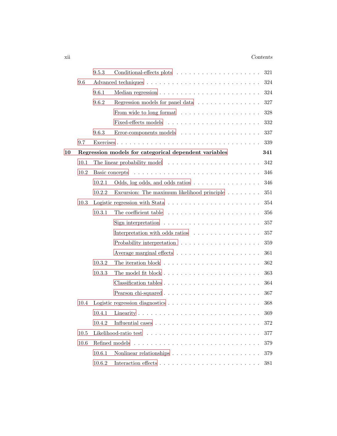#### xii Contents

|    |      | 9.5.3  |                                                                                   | 321 |
|----|------|--------|-----------------------------------------------------------------------------------|-----|
|    | 9.6  |        |                                                                                   | 324 |
|    |      | 9.6.1  |                                                                                   | 324 |
|    |      | 9.6.2  | Regression models for panel data                                                  | 327 |
|    |      |        |                                                                                   | 328 |
|    |      |        |                                                                                   | 332 |
|    |      | 9.6.3  |                                                                                   | 337 |
|    | 9.7  |        |                                                                                   | 339 |
| 10 |      |        | Regression models for categorical dependent variables                             | 341 |
|    | 10.1 |        |                                                                                   | 342 |
|    | 10.2 |        |                                                                                   | 346 |
|    |      | 10.2.1 | Odds, log odds, and odds ratios                                                   | 346 |
|    |      | 10.2.2 | Excursion: The maximum likelihood principle                                       | 351 |
|    | 10.3 |        |                                                                                   | 354 |
|    |      | 10.3.1 | The coefficient table $\dots \dots \dots \dots \dots \dots \dots \dots \dots$     | 356 |
|    |      |        | Sign interpretation $\ldots \ldots \ldots \ldots \ldots \ldots \ldots$            | 357 |
|    |      |        | Interpretation with odds ratios                                                   | 357 |
|    |      |        |                                                                                   | 359 |
|    |      |        |                                                                                   | 361 |
|    |      | 10.3.2 | The iteration block $\dots \dots \dots \dots \dots \dots \dots \dots \dots$       | 362 |
|    |      | 10.3.3 |                                                                                   | 363 |
|    |      |        |                                                                                   | 364 |
|    |      |        |                                                                                   | 367 |
|    | 10.4 |        | Logistic regression diagnostics $\dots \dots \dots \dots \dots \dots \dots \dots$ | 368 |
|    |      | 10.4.1 |                                                                                   | 369 |
|    |      | 10.4.2 |                                                                                   | 372 |
|    | 10.5 |        |                                                                                   | 377 |
|    | 10.6 |        |                                                                                   | 379 |
|    |      | 10.6.1 |                                                                                   | 379 |
|    |      | 10.6.2 | Interaction effects $\dots \dots \dots \dots \dots \dots \dots \dots \dots \dots$ | 381 |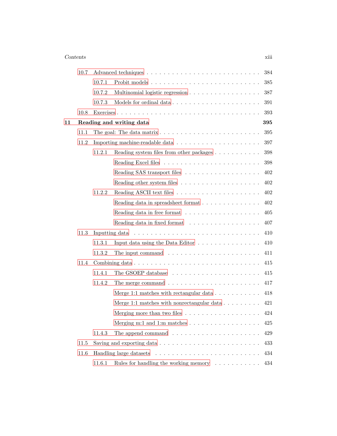| $\cdots$<br><b>X111</b> |
|-------------------------|
|                         |

|    | 10.7 |        |                                                                                     | 384 |
|----|------|--------|-------------------------------------------------------------------------------------|-----|
|    |      | 10.7.1 |                                                                                     | 385 |
|    |      | 10.7.2 | Multinomial logistic regression                                                     | 387 |
|    |      | 10.7.3 |                                                                                     | 391 |
|    | 10.8 |        |                                                                                     | 393 |
| 11 |      |        | Reading and writing data                                                            | 395 |
|    | 11.1 |        | The goal: The data matrix $\ldots \ldots \ldots \ldots \ldots \ldots \ldots \ldots$ | 395 |
|    | 11.2 |        |                                                                                     | 397 |
|    |      | 11.2.1 |                                                                                     | 398 |
|    |      |        |                                                                                     | 398 |
|    |      |        |                                                                                     | 402 |
|    |      |        | Reading other system files $\ldots \ldots \ldots \ldots \ldots \ldots$              | 402 |
|    |      | 11.2.2 |                                                                                     | 402 |
|    |      |        | Reading data in spreadsheet format                                                  | 402 |
|    |      |        |                                                                                     | 405 |
|    |      |        | Reading data in fixed format                                                        | 407 |
|    | 11.3 |        |                                                                                     | 410 |
|    |      | 11.3.1 | Input data using the Data Editor $\dots \dots \dots \dots \dots$                    | 410 |
|    |      | 11.3.2 | The input command $\ldots \ldots \ldots \ldots \ldots \ldots \ldots$                | 411 |
|    | 11.4 |        |                                                                                     | 415 |
|    |      | 11.4.1 |                                                                                     | 415 |
|    |      | 11.4.2 |                                                                                     | 417 |
|    |      |        | Merge 1:1 matches with rectangular data $\ldots \ldots \ldots$                      | 418 |
|    |      |        | Merge 1:1 matches with nonrectangular data                                          | 421 |
|    |      |        | Merging more than two files $\dots \dots \dots \dots$                               | 424 |
|    |      |        | Merging m:1 and 1:m matches $\dots \dots \dots \dots \dots \dots$                   | 425 |
|    |      | 11.4.3 | The append command $\ldots \ldots \ldots \ldots \ldots \ldots \ldots$               | 429 |
|    | 11.5 |        |                                                                                     | 433 |
|    | 11.6 |        |                                                                                     | 434 |
|    |      | 11.6.1 | Rules for handling the working memory $\ldots \ldots \ldots$                        | 434 |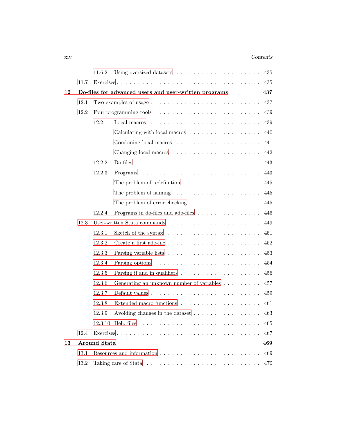#### xiv Contents

|    |      | 11.6.2       |                                                                          | 435 |
|----|------|--------------|--------------------------------------------------------------------------|-----|
|    | 11.7 |              |                                                                          | 435 |
| 12 |      |              | Do-files for advanced users and user-written programs                    | 437 |
|    | 12.1 |              |                                                                          | 437 |
|    | 12.2 |              |                                                                          | 439 |
|    |      | 12.2.1       |                                                                          | 439 |
|    |      |              | Calculating with local macros                                            | 440 |
|    |      |              |                                                                          | 441 |
|    |      |              |                                                                          | 442 |
|    |      | 12.2.2       |                                                                          | 443 |
|    |      | 12.2.3       |                                                                          | 443 |
|    |      |              | The problem of redefinition $\ldots \ldots \ldots \ldots \ldots \ldots$  | 445 |
|    |      |              | The problem of naming $\ldots \ldots \ldots \ldots \ldots \ldots \ldots$ | 445 |
|    |      |              | The problem of error checking $\dots \dots \dots \dots \dots \dots$      | 445 |
|    |      | 12.2.4       | Programs in do-files and ado-files                                       | 446 |
|    | 12.3 |              |                                                                          | 449 |
|    |      | 12.3.1       | Sketch of the syntax $\dots \dots \dots \dots \dots \dots \dots \dots$   | 451 |
|    |      | 12.3.2       |                                                                          | 452 |
|    |      | 12.3.3       |                                                                          | 453 |
|    |      | 12.3.4       |                                                                          | 454 |
|    |      | 12.3.5       | Parsing if and in qualifiers $\dots \dots \dots \dots \dots \dots \dots$ | 456 |
|    |      | 12.3.6       | Generating an unknown number of variables                                | 457 |
|    |      | 12.3.7       |                                                                          | 459 |
|    |      | 12.3.8       |                                                                          | 461 |
|    |      | 12.3.9       | Avoiding changes in the dataset                                          | 463 |
|    |      |              |                                                                          | 465 |
|    | 12.4 |              |                                                                          | 467 |
| 13 |      | Around Stata |                                                                          | 469 |
|    | 13.1 |              |                                                                          | 469 |
|    | 13.2 |              |                                                                          | 470 |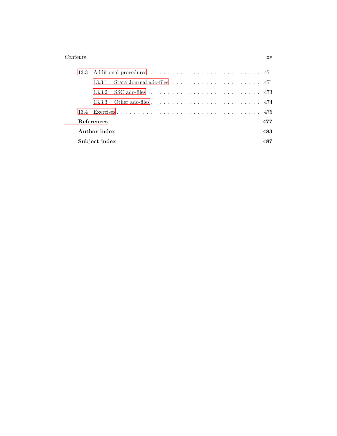#### Contents xv

|               |              | 13.3.1 Stata Journal ado-files $\ldots \ldots \ldots \ldots \ldots \ldots \ldots 471$ |     |  |  |  |  |  |
|---------------|--------------|---------------------------------------------------------------------------------------|-----|--|--|--|--|--|
|               |              |                                                                                       |     |  |  |  |  |  |
|               |              |                                                                                       |     |  |  |  |  |  |
|               |              |                                                                                       |     |  |  |  |  |  |
| References    |              |                                                                                       |     |  |  |  |  |  |
|               | Author index |                                                                                       | 483 |  |  |  |  |  |
| Subject index |              |                                                                                       |     |  |  |  |  |  |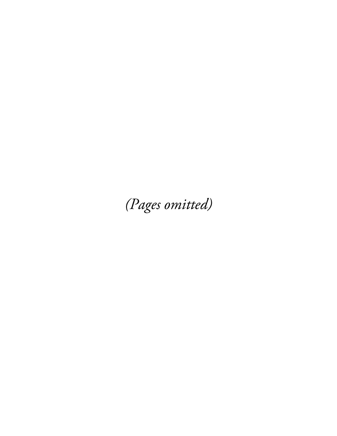(Pages omitted)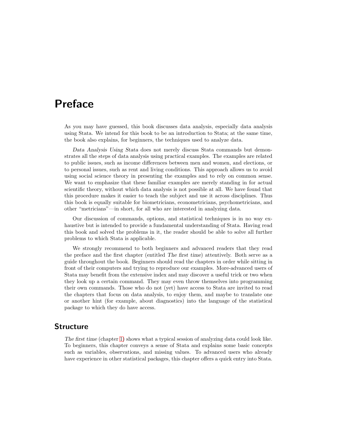## Preface

As you may have guessed, this book discusses data analysis, especially data analysis using Stata. We intend for this book to be an introduction to Stata; at the same time, the book also explains, for beginners, the techniques used to analyze data.

Data Analysis Using Stata does not merely discuss Stata commands but demonstrates all the steps of data analysis using practical examples. The examples are related to public issues, such as income differences between men and women, and elections, or to personal issues, such as rent and living conditions. This approach allows us to avoid using social science theory in presenting the examples and to rely on common sense. We want to emphasize that these familiar examples are merely standing in for actual scientific theory, without which data analysis is not possible at all. We have found that this procedure makes it easier to teach the subject and use it across disciplines. Thus this book is equally suitable for biometricians, econometricians, psychometricians, and other "metricians"—in short, for all who are interested in analyzing data.

Our discussion of commands, options, and statistical techniques is in no way exhaustive but is intended to provide a fundamental understanding of Stata. Having read this book and solved the problems in it, the reader should be able to solve all further problems to which Stata is applicable.

We strongly recommend to both beginners and advanced readers that they read the preface and the first chapter (entitled The first time) attentively. Both serve as a guide throughout the book. Beginners should read the chapters in order while sitting in front of their computers and trying to reproduce our examples. More-advanced users of Stata may benefit from the extensive index and may discover a useful trick or two when they look up a certain command. They may even throw themselves into programming their own commands. Those who do not (yet) have access to Stata are invited to read the chapters that focus on data analysis, to enjoy them, and maybe to translate one or another hint (for example, about diagnostics) into the language of the statistical package to which they do have access.

## **Structure**

The first time (chapter 1) shows what a typical session of analyzing data could look like. To beginners, this chapter conveys a sense of Stata and explains some basic concepts such as variables, observations, and missing values. To advanced users who already have experience in other statistical packages, this chapter offers a quick entry into Stata.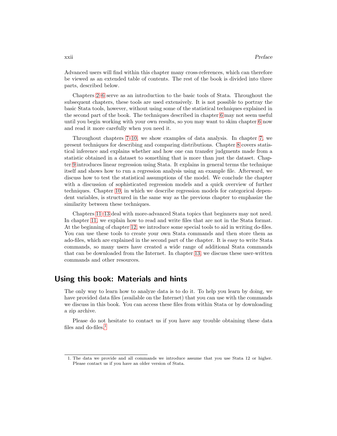Advanced users will find within this chapter many cross-references, which can therefore be viewed as an extended table of contents. The rest of the book is divided into three parts, described below.

Chapters 2–6 serve as an introduction to the basic tools of Stata. Throughout the subsequent chapters, these tools are used extensively. It is not possible to portray the basic Stata tools, however, without using some of the statistical techniques explained in the second part of the book. The techniques described in chapter 6 may not seem useful until you begin working with your own results, so you may want to skim chapter 6 now and read it more carefully when you need it.

Throughout chapters 7–10, we show examples of data analysis. In chapter 7, we present techniques for describing and comparing distributions. Chapter 8 covers statistical inference and explains whether and how one can transfer judgments made from a statistic obtained in a dataset to something that is more than just the dataset. Chapter 9 introduces linear regression using Stata. It explains in general terms the technique itself and shows how to run a regression analysis using an example file. Afterward, we discuss how to test the statistical assumptions of the model. We conclude the chapter with a discussion of sophisticated regression models and a quick overview of further techniques. Chapter 10, in which we describe regression models for categorical dependent variables, is structured in the same way as the previous chapter to emphasize the similarity between these techniques.

Chapters 11–13 deal with more-advanced Stata topics that beginners may not need. In chapter 11, we explain how to read and write files that are not in the Stata format. At the beginning of chapter 12, we introduce some special tools to aid in writing do-files. You can use these tools to create your own Stata commands and then store them as ado-files, which are explained in the second part of the chapter. It is easy to write Stata commands, so many users have created a wide range of additional Stata commands that can be downloaded from the Internet. In chapter 13, we discuss these user-written commands and other resources.

## Using this book: Materials and hints

The only way to learn how to analyze data is to do it. To help you learn by doing, we have provided data files (available on the Internet) that you can use with the commands we discuss in this book. You can access these files from within Stata or by downloading a zip archive.

Please do not hesitate to contact us if you have any trouble obtaining these data files and do-files. $<sup>1</sup>$ </sup>

<sup>1.</sup> The data we provide and all commands we introduce assume that you use Stata 12 or higher. Please contact us if you have an older version of Stata.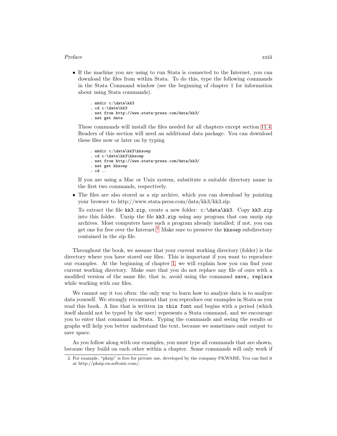#### Preface xxiii

• If the machine you are using to run Stata is connected to the Internet, you can download the files from within Stata. To do this, type the following commands in the Stata Command window (see the beginning of chapter 1 for information about using Stata commands).

```
. mkdir c:\data\kk3
. cd c:\data\kk3
. net from http://www.stata-press.com/data/kk3/
. net get data
```
These commands will install the files needed for all chapters except section 11.4. Readers of this section will need an additional data package. You can download these files now or later on by typing

```
. mkdir c:\data\kk3\kksoep
. cd c:\data\kk3\kksoep
. net from http://www.stata-press.com/data/kk3/
. net get kksoep
. cd ..
```
If you are using a Mac or Unix system, substitute a suitable directory name in the first two commands, respectively.

• The files are also stored as a zip archive, which you can download by pointing your browser to http://www.stata-press.com/data/kk3/kk3.zip.

To extract the file kk3.zip, create a new folder: c:\data\kk3. Copy kk3.zip into this folder. Unzip the file kk3.zip using any program that can unzip zip archives. Most computers have such a program already installed; if not, you can get one for free over the Internet.<sup>2</sup> Make sure to preserve the kksoep subdirectory contained in the zip file.

Throughout the book, we assume that your current working directory (folder) is the directory where you have stored our files. This is important if you want to reproduce our examples. At the beginning of chapter 1, we will explain how you can find your current working directory. Make sure that you do not replace any file of ours with a modified version of the same file; that is, avoid using the command save, replace while working with our files.

We cannot say it too often: the only way to learn how to analyze data is to analyze data yourself. We strongly recommend that you reproduce our examples in Stata as you read this book. A line that is written in this font and begins with a period (which itself should not be typed by the user) represents a Stata command, and we encourage you to enter that command in Stata. Typing the commands and seeing the results or graphs will help you better understand the text, because we sometimes omit output to save space.

As you follow along with our examples, you must type all commands that are shown, because they build on each other within a chapter. Some commands will only work if

<sup>2.</sup> For example, "pkzip" is free for private use, developed by the company PKWARE. You can find it at http://pkzip.en.softonic.com/.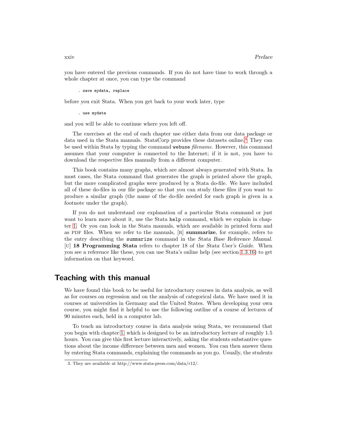you have entered the previous commands. If you do not have time to work through a whole chapter at once, you can type the command

. save mydata, replace

before you exit Stata. When you get back to your work later, type

. use mydata

and you will be able to continue where you left off.

The exercises at the end of each chapter use either data from our data package or data used in the Stata manuals. StataCorp provides these datasets online.<sup>3</sup> They can be used within Stata by typing the command webuse filename. However, this command assumes that your computer is connected to the Internet; if it is not, you have to download the respective files manually from a different computer.

This book contains many graphs, which are almost always generated with Stata. In most cases, the Stata command that generates the graph is printed above the graph, but the more complicated graphs were produced by a Stata do-file. We have included all of these do-files in our file package so that you can study these files if you want to produce a similar graph (the name of the do-file needed for each graph is given in a footnote under the graph).

If you do not understand our explanation of a particular Stata command or just want to learn more about it, use the Stata help command, which we explain in chapter 1. Or you can look in the Stata manuals, which are available in printed form and as PDF files. When we refer to the manuals, [R] summarize, for example, refers to the entry describing the summarize command in the Stata Base Reference Manual. [U] 18 Programming Stata refers to chapter 18 of the Stata User's Guide. When you see a reference like these, you can use Stata's online help (see section 1.3.16) to get information on that keyword.

### Teaching with this manual

We have found this book to be useful for introductory courses in data analysis, as well as for courses on regression and on the analysis of categorical data. We have used it in courses at universities in Germany and the United States. When developing your own course, you might find it helpful to use the following outline of a course of lectures of 90 minutes each, held in a computer lab.

To teach an introductory course in data analysis using Stata, we recommend that you begin with chapter 1, which is designed to be an introductory lecture of roughly 1.5 hours. You can give this first lecture interactively, asking the students substantive questions about the income difference between men and women. You can then answer them by entering Stata commands, explaining the commands as you go. Usually, the students

<sup>3.</sup> They are available at http://www.stata-press.com/data/r12/.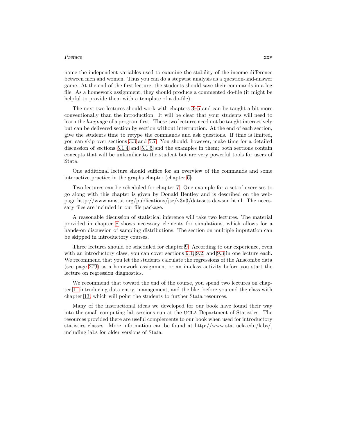#### Preface xxv

name the independent variables used to examine the stability of the income difference between men and women. Thus you can do a stepwise analysis as a question-and-answer game. At the end of the first lecture, the students should save their commands in a log file. As a homework assignment, they should produce a commented do-file (it might be helpful to provide them with a template of a do-file).

The next two lectures should work with chapters 3–5 and can be taught a bit more conventionally than the introduction. It will be clear that your students will need to learn the language of a program first. These two lectures need not be taught interactively but can be delivered section by section without interruption. At the end of each section, give the students time to retype the commands and ask questions. If time is limited, you can skip over sections 3.3 and 5.7. You should, however, make time for a detailed discussion of sections 5.1.4 and 5.1.5 and the examples in them; both sections contain concepts that will be unfamiliar to the student but are very powerful tools for users of Stata.

One additional lecture should suffice for an overview of the commands and some interactive practice in the graphs chapter (chapter 6).

Two lectures can be scheduled for chapter 7. One example for a set of exercises to go along with this chapter is given by Donald Bentley and is described on the webpage http://www.amstat.org/publications/jse/v3n3/datasets.dawson.html. The necessary files are included in our file package.

A reasonable discussion of statistical inference will take two lectures. The material provided in chapter 8 shows necessary elements for simulations, which allows for a hands-on discussion of sampling distributions. The section on multiple imputation can be skipped in introductory courses.

Three lectures should be scheduled for chapter 9. According to our experience, even with an introductory class, you can cover sections 9.1, 9.2, and 9.3 in one lecture each. We recommend that you let the students calculate the regressions of the Anscombe data (see page 279) as a homework assignment or an in-class activity before you start the lecture on regression diagnostics.

We recommend that toward the end of the course, you spend two lectures on chapter 11 introducing data entry, management, and the like, before you end the class with chapter 13, which will point the students to further Stata resources.

Many of the instructional ideas we developed for our book have found their way into the small computing lab sessions run at the UCLA Department of Statistics. The resources provided there are useful complements to our book when used for introductory statistics classes. More information can be found at http://www.stat.ucla.edu/labs/, including labs for older versions of Stata.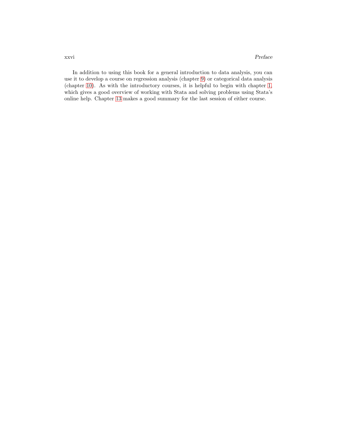In addition to using this book for a general introduction to data analysis, you can use it to develop a course on regression analysis (chapter 9) or categorical data analysis (chapter 10). As with the introductory courses, it is helpful to begin with chapter 1, which gives a good overview of working with Stata and solving problems using Stata's online help. Chapter 13 makes a good summary for the last session of either course.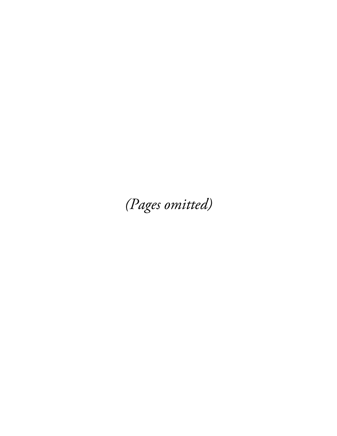(Pages omitted)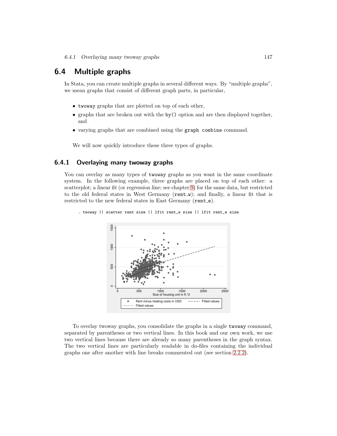## 6.4 Multiple graphs

In Stata, you can create multiple graphs in several different ways. By "multiple graphs", we mean graphs that consist of different graph parts, in particular,

- twoway graphs that are plotted on top of each other,
- graphs that are broken out with the by() option and are then displayed together, and
- varying graphs that are combined using the graph combine command.

We will now quickly introduce these three types of graphs.

#### 6.4.1 Overlaying many twoway graphs

You can overlay as many types of twoway graphs as you want in the same coordinate system. In the following example, three graphs are placed on top of each other: a scatterplot; a linear fit (or regression line; see chapter 9) for the same data, but restricted to the old federal states in West Germany ( $rent_w$ ); and finally, a linear fit that is restricted to the new federal states in East Germany (rent\_e).





To overlay twoway graphs, you consolidate the graphs in a single twoway command, separated by parentheses or two vertical lines. In this book and our own work, we use two vertical lines because there are already so many parentheses in the graph syntax. The two vertical lines are particularly readable in do-files containing the individual graphs one after another with line breaks commented out (see section 2.2.2).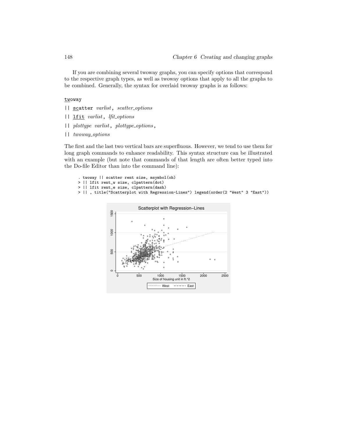If you are combining several twoway graphs, you can specify options that correspond to the respective graph types, as well as twoway options that apply to all the graphs to be combined. Generally, the syntax for overlaid twoway graphs is as follows:

#### **twoway**

- || scatter varlist, scatter options
- || lfit varlist, lfit options
- || plottype varlist, plottype options,
- || twoway\_options

The first and the last two vertical bars are superfluous. However, we tend to use them for long graph commands to enhance readability. This syntax structure can be illustrated with an example (but note that commands of that length are often better typed into the Do-file Editor than into the command line):

- . twoway || scatter rent size, msymbol(oh)
- > || lfit rent\_w size, clpattern(dot)
- > || lfit rent\_e size, clpattern(dash)
- > || , title("Scatterplot with Regression-Lines") legend(order(2 "West" 3 "East"))

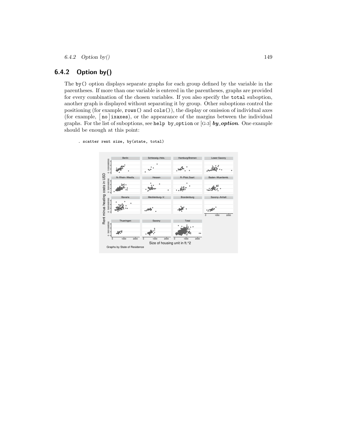## 6.4.2 Option by()

The by() option displays separate graphs for each group defined by the variable in the parentheses. If more than one variable is entered in the parentheses, graphs are provided for every combination of the chosen variables. If you also specify the total suboption, another graph is displayed without separating it by group. Other suboptions control the positioning (for example, rows() and cols()), the display or omission of individual axes (for example,  $\lceil$  no  $\rceil$  ixaxes), or the appearance of the margins between the individual graphs. For the list of suboptions, see help by option or  $[G-3]$  by option. One example should be enough at this point:



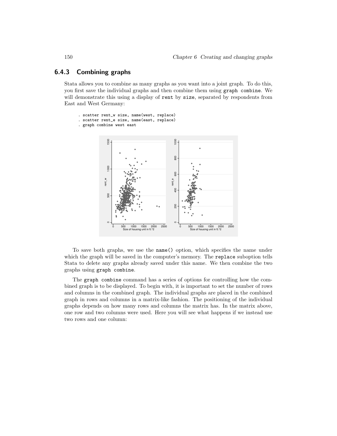#### 6.4.3 Combining graphs

Stata allows you to combine as many graphs as you want into a joint graph. To do this, you first save the individual graphs and then combine them using graph combine. We will demonstrate this using a display of rent by size, separated by respondents from East and West Germany:

. scatter rent\_w size, name(west, replace)

. scatter rent\_e size, name(east, replace)

<sup>.</sup> graph combine west east



To save both graphs, we use the name() option, which specifies the name under which the graph will be saved in the computer's memory. The replace suboption tells Stata to delete any graphs already saved under this name. We then combine the two graphs using graph combine.

The graph combine command has a series of options for controlling how the combined graph is to be displayed. To begin with, it is important to set the number of rows and columns in the combined graph. The individual graphs are placed in the combined graph in rows and columns in a matrix-like fashion. The positioning of the individual graphs depends on how many rows and columns the matrix has. In the matrix above, one row and two columns were used. Here you will see what happens if we instead use two rows and one column: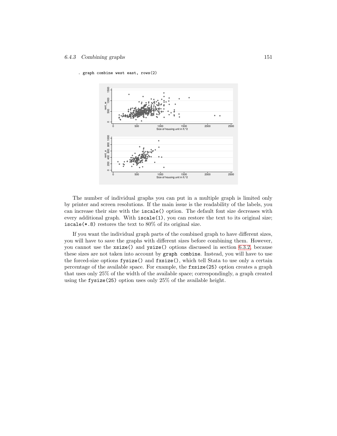#### 6.4.3 Combining graphs 151



. graph combine west east, rows(2)

The number of individual graphs you can put in a multiple graph is limited only by printer and screen resolutions. If the main issue is the readability of the labels, you can increase their size with the iscale() option. The default font size decreases with every additional graph. With  $iscale(1)$ , you can restore the text to its original size; iscale(\*.8) restores the text to 80% of its original size.

If you want the individual graph parts of the combined graph to have different sizes, you will have to save the graphs with different sizes before combining them. However, you cannot use the xsize() and ysize() options discussed in section 6.3.2, because these sizes are not taken into account by graph combine. Instead, you will have to use the forced-size options fysize() and fxsize(), which tell Stata to use only a certain percentage of the available space. For example, the fxsize(25) option creates a graph that uses only 25% of the width of the available space; correspondingly, a graph created using the fysize(25) option uses only 25% of the available height.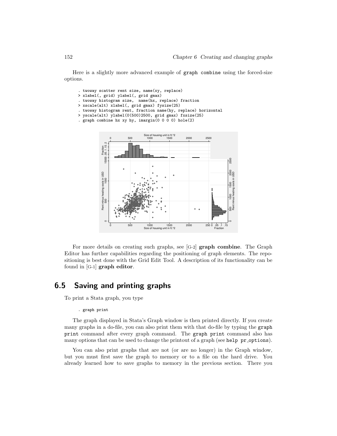Here is a slightly more advanced example of graph combine using the forced-size options.

- . twoway scatter rent size, name(xy, replace)
- > xlabel(, grid) ylabel(, grid gmax)
- . twoway histogram size, name(hx, replace) fraction
- > xscale(alt) xlabel(, grid gmax) fysize(25)
- . twoway histogram rent, fraction name(hy, replace) horizontal
- > yscale(alt) ylabel(0(500)2500, grid gmax) fxsize(25)
- . graph combine hx xy hy, imargin(0 0 0 0) hole(2)



For more details on creating such graphs, see [G-2] graph combine. The Graph Editor has further capabilities regarding the positioning of graph elements. The repositioning is best done with the Grid Edit Tool. A description of its functionality can be found in [G-1] graph editor.

## 6.5 Saving and printing graphs

To print a Stata graph, you type

. graph print

The graph displayed in Stata's Graph window is then printed directly. If you create many graphs in a do-file, you can also print them with that do-file by typing the graph print command after every graph command. The graph print command also has many options that can be used to change the printout of a graph (see help pr\_options).

You can also print graphs that are not (or are no longer) in the Graph window, but you must first save the graph to memory or to a file on the hard drive. You already learned how to save graphs to memory in the previous section. There you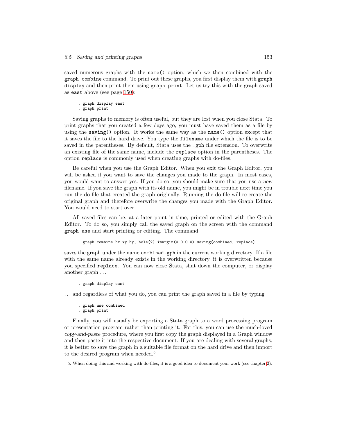saved numerous graphs with the name() option, which we then combined with the graph combine command. To print out these graphs, you first display them with graph display and then print them using graph print. Let us try this with the graph saved as east above (see page 150):

. graph display east . graph print

Saving graphs to memory is often useful, but they are lost when you close Stata. To print graphs that you created a few days ago, you must have saved them as a file by using the saving() option. It works the same way as the name() option except that it saves the file to the hard drive. You type the filename under which the file is to be saved in the parentheses. By default, Stata uses the .gph file extension. To overwrite an existing file of the same name, include the replace option in the parentheses. The option replace is commonly used when creating graphs with do-files.

Be careful when you use the Graph Editor. When you exit the Graph Editor, you will be asked if you want to save the changes you made to the graph. In most cases, you would want to answer yes. If you do so, you should make sure that you use a new filename. If you save the graph with its old name, you might be in trouble next time you run the do-file that created the graph originally. Running the do-file will re-create the original graph and therefore overwrite the changes you made with the Graph Editor. You would need to start over.

All saved files can be, at a later point in time, printed or edited with the Graph Editor. To do so, you simply call the saved graph on the screen with the command graph use and start printing or editing. The command

. graph combine hx xy hy, hole(2) imargin(0 0 0 0) saving(combined, replace)

saves the graph under the name combined.gph in the current working directory. If a file with the same name already exists in the working directory, it is overwritten because you specified replace. You can now close Stata, shut down the computer, or display another graph . . .

. graph display east

. . . and regardless of what you do, you can print the graph saved in a file by typing

- . graph use combined
- . graph print

Finally, you will usually be exporting a Stata graph to a word processing program or presentation program rather than printing it. For this, you can use the much-loved copy-and-paste procedure, where you first copy the graph displayed in a Graph window and then paste it into the respective document. If you are dealing with several graphs, it is better to save the graph in a suitable file format on the hard drive and then import to the desired program when needed.<sup>5</sup>

<sup>5.</sup> When doing this and working with do-files, it is a good idea to document your work (see chapter 2).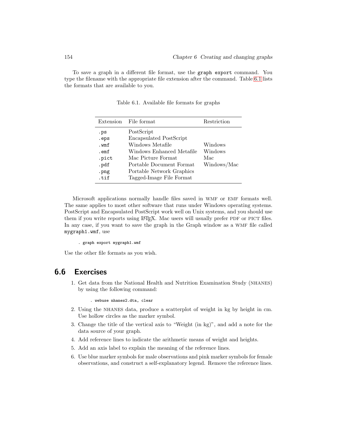To save a graph in a different file format, use the graph export command. You type the filename with the appropriate file extension after the command. Table 6.1 lists the formats that are available to you.

|                                                                          | Extension File format                                                                                                                                                                                    | Restriction                              |
|--------------------------------------------------------------------------|----------------------------------------------------------------------------------------------------------------------------------------------------------------------------------------------------------|------------------------------------------|
| .ps<br>.eps<br>$.$ $wmf$<br>.emf<br>.pict<br>.pdf<br>.png<br>$\cdot$ tif | PostScript<br><b>Encapsulated PostScript</b><br>Windows Metafile<br>Windows Enhanced Metafile<br>Mac Picture Format<br>Portable Document Format<br>Portable Network Graphics<br>Tagged-Image File Format | Windows<br>Windows<br>Mac<br>Windows/Mac |

Table 6.1. Available file formats for graphs

Microsoft applications normally handle files saved in WMF or EMF formats well. The same applies to most other software that runs under Windows operating systems. PostScript and Encapsulated PostScript work well on Unix systems, and you should use them if you write reports using LAT<sub>EX</sub>. Mac users will usually prefer PDF or PICT files. In any case, if you want to save the graph in the Graph window as a WMF file called mygraph1.wmf, use

```
. graph export mygraph1.wmf
```
Use the other file formats as you wish.

## 6.6 Exercises

1. Get data from the National Health and Nutrition Examination Study (NHANES) by using the following command:

. webuse nhanes2.dta, clear

- 2. Using the NHANES data, produce a scatterplot of weight in kg by height in cm. Use hollow circles as the marker symbol.
- 3. Change the title of the vertical axis to "Weight (in kg)", and add a note for the data source of your graph.
- 4. Add reference lines to indicate the arithmetic means of weight and heights.
- 5. Add an axis label to explain the meaning of the reference lines.
- 6. Use blue marker symbols for male observations and pink marker symbols for female observations, and construct a self-explanatory legend. Remove the reference lines.